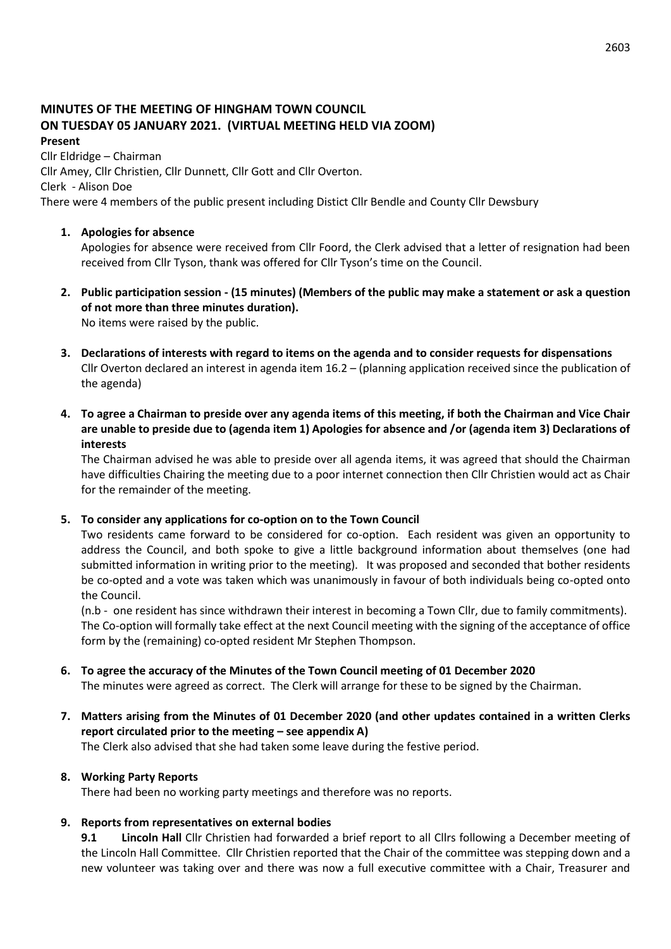# **MINUTES OF THE MEETING OF HINGHAM TOWN COUNCIL ON TUESDAY 05 JANUARY 2021. (VIRTUAL MEETING HELD VIA ZOOM)**

#### **Present**

Cllr Eldridge – Chairman

Cllr Amey, Cllr Christien, Cllr Dunnett, Cllr Gott and Cllr Overton.

Clerk - Alison Doe

There were 4 members of the public present including Distict Cllr Bendle and County Cllr Dewsbury

## **1. Apologies for absence**

Apologies for absence were received from Cllr Foord, the Clerk advised that a letter of resignation had been received from Cllr Tyson, thank was offered for Cllr Tyson's time on the Council.

**2. Public participation session - (15 minutes) (Members of the public may make a statement or ask a question of not more than three minutes duration).** No items were raised by the public.

**3. Declarations of interests with regard to items on the agenda and to consider requests for dispensations** Cllr Overton declared an interest in agenda item 16.2 – (planning application received since the publication of the agenda)

**4. To agree a Chairman to preside over any agenda items of this meeting, if both the Chairman and Vice Chair are unable to preside due to (agenda item 1) Apologies for absence and /or (agenda item 3) Declarations of interests**

The Chairman advised he was able to preside over all agenda items, it was agreed that should the Chairman have difficulties Chairing the meeting due to a poor internet connection then Cllr Christien would act as Chair for the remainder of the meeting.

### **5. To consider any applications for co-option on to the Town Council**

Two residents came forward to be considered for co-option. Each resident was given an opportunity to address the Council, and both spoke to give a little background information about themselves (one had submitted information in writing prior to the meeting). It was proposed and seconded that bother residents be co-opted and a vote was taken which was unanimously in favour of both individuals being co-opted onto the Council.

(n.b - one resident has since withdrawn their interest in becoming a Town Cllr, due to family commitments). The Co-option will formally take effect at the next Council meeting with the signing of the acceptance of office form by the (remaining) co-opted resident Mr Stephen Thompson.

# **6. To agree the accuracy of the Minutes of the Town Council meeting of 01 December 2020**

The minutes were agreed as correct. The Clerk will arrange for these to be signed by the Chairman.

**7. Matters arising from the Minutes of 01 December 2020 (and other updates contained in a written Clerks report circulated prior to the meeting – see appendix A)**

The Clerk also advised that she had taken some leave during the festive period.

# **8. Working Party Reports**

There had been no working party meetings and therefore was no reports.

# **9. Reports from representatives on external bodies**

**9.1 Lincoln Hall** Cllr Christien had forwarded a brief report to all Cllrs following a December meeting of the Lincoln Hall Committee. Cllr Christien reported that the Chair of the committee was stepping down and a new volunteer was taking over and there was now a full executive committee with a Chair, Treasurer and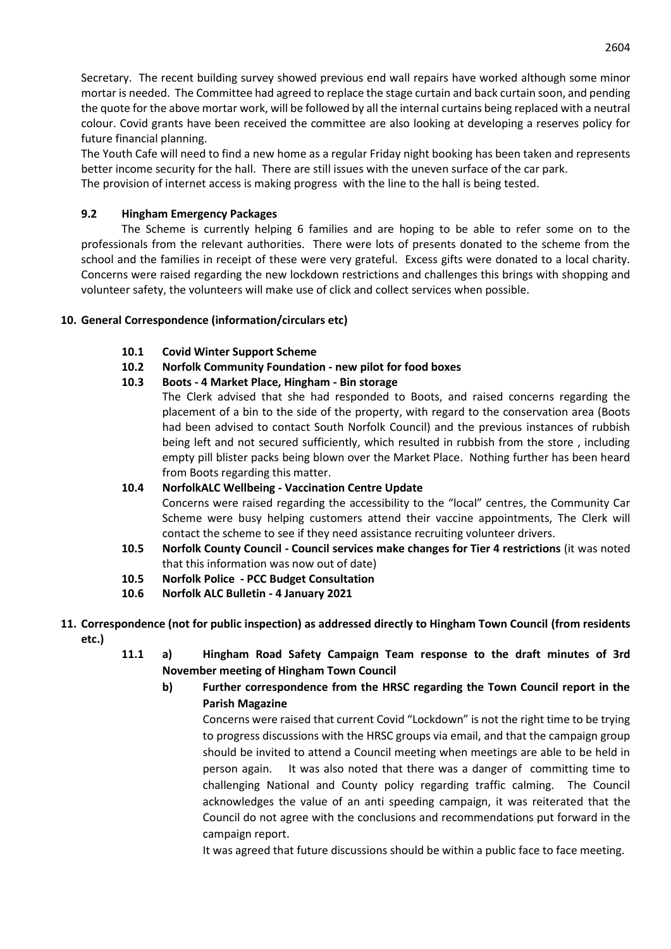Secretary. The recent building survey showed previous end wall repairs have worked although some minor mortar is needed. The Committee had agreed to replace the stage curtain and back curtain soon, and pending the quote for the above mortar work, will be followed by all the internal curtains being replaced with a neutral colour. Covid grants have been received the committee are also looking at developing a reserves policy for future financial planning.

The Youth Cafe will need to find a new home as a regular Friday night booking has been taken and represents better income security for the hall. There are still issues with the uneven surface of the car park. The provision of internet access is making progress with the line to the hall is being tested.

### **9.2 Hingham Emergency Packages**

The Scheme is currently helping 6 families and are hoping to be able to refer some on to the professionals from the relevant authorities. There were lots of presents donated to the scheme from the school and the families in receipt of these were very grateful. Excess gifts were donated to a local charity. Concerns were raised regarding the new lockdown restrictions and challenges this brings with shopping and volunteer safety, the volunteers will make use of click and collect services when possible.

### **10. General Correspondence (information/circulars etc)**

#### **10.1 Covid Winter Support Scheme**

**10.2 Norfolk Community Foundation - new pilot for food boxes**

### **10.3 Boots - 4 Market Place, Hingham - Bin storage**

The Clerk advised that she had responded to Boots, and raised concerns regarding the placement of a bin to the side of the property, with regard to the conservation area (Boots had been advised to contact South Norfolk Council) and the previous instances of rubbish being left and not secured sufficiently, which resulted in rubbish from the store , including empty pill blister packs being blown over the Market Place. Nothing further has been heard from Boots regarding this matter.

# **10.4 NorfolkALC Wellbeing - Vaccination Centre Update** Concerns were raised regarding the accessibility to the "local" centres, the Community Car Scheme were busy helping customers attend their vaccine appointments, The Clerk will contact the scheme to see if they need assistance recruiting volunteer drivers.

- **10.5 Norfolk County Council - Council services make changes for Tier 4 restrictions** (it was noted that this information was now out of date)
- **10.5 Norfolk Police - PCC Budget Consultation**
- **10.6 Norfolk ALC Bulletin - 4 January 2021**
- **11. Correspondence (not for public inspection) as addressed directly to Hingham Town Council (from residents etc.)**
	- **11.1 a) Hingham Road Safety Campaign Team response to the draft minutes of 3rd November meeting of Hingham Town Council**

# **b) Further correspondence from the HRSC regarding the Town Council report in the Parish Magazine**

Concerns were raised that current Covid "Lockdown" is not the right time to be trying to progress discussions with the HRSC groups via email, and that the campaign group should be invited to attend a Council meeting when meetings are able to be held in person again. It was also noted that there was a danger of committing time to challenging National and County policy regarding traffic calming. The Council acknowledges the value of an anti speeding campaign, it was reiterated that the Council do not agree with the conclusions and recommendations put forward in the campaign report.

It was agreed that future discussions should be within a public face to face meeting.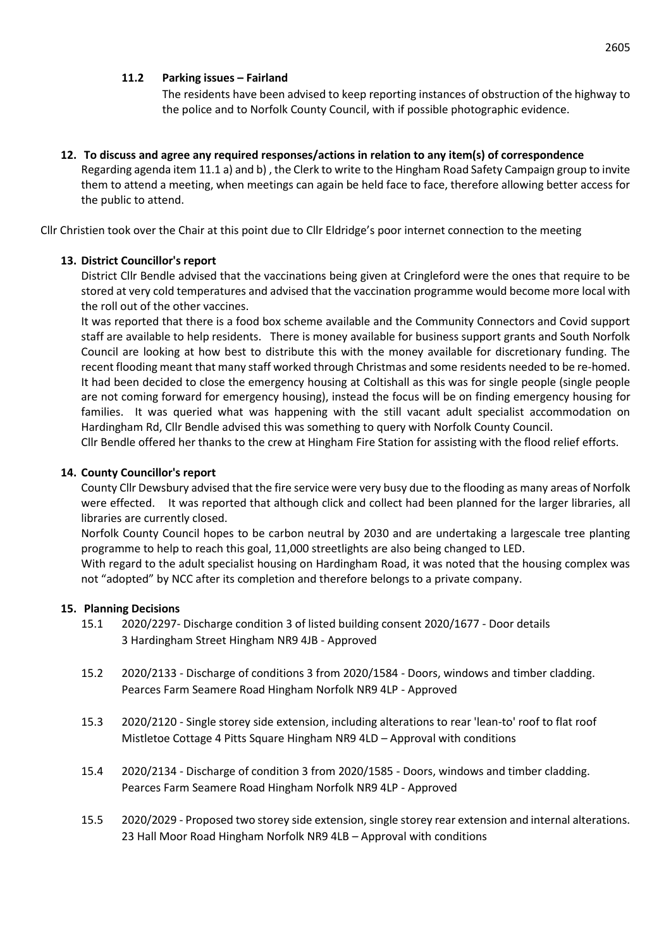### **11.2 Parking issues – Fairland**

The residents have been advised to keep reporting instances of obstruction of the highway to the police and to Norfolk County Council, with if possible photographic evidence.

### **12. To discuss and agree any required responses/actions in relation to any item(s) of correspondence**

Regarding agenda item 11.1 a) and b) , the Clerk to write to the Hingham Road Safety Campaign group to invite them to attend a meeting, when meetings can again be held face to face, therefore allowing better access for the public to attend.

Cllr Christien took over the Chair at this point due to Cllr Eldridge's poor internet connection to the meeting

#### **13. District Councillor's report**

District Cllr Bendle advised that the vaccinations being given at Cringleford were the ones that require to be stored at very cold temperatures and advised that the vaccination programme would become more local with the roll out of the other vaccines.

It was reported that there is a food box scheme available and the Community Connectors and Covid support staff are available to help residents. There is money available for business support grants and South Norfolk Council are looking at how best to distribute this with the money available for discretionary funding. The recent flooding meant that many staff worked through Christmas and some residents needed to be re-homed. It had been decided to close the emergency housing at Coltishall as this was for single people (single people are not coming forward for emergency housing), instead the focus will be on finding emergency housing for families. It was queried what was happening with the still vacant adult specialist accommodation on Hardingham Rd, Cllr Bendle advised this was something to query with Norfolk County Council.

Cllr Bendle offered her thanks to the crew at Hingham Fire Station for assisting with the flood relief efforts.

#### **14. County Councillor's report**

County Cllr Dewsbury advised that the fire service were very busy due to the flooding as many areas of Norfolk were effected. It was reported that although click and collect had been planned for the larger libraries, all libraries are currently closed.

Norfolk County Council hopes to be carbon neutral by 2030 and are undertaking a largescale tree planting programme to help to reach this goal, 11,000 streetlights are also being changed to LED.

With regard to the adult specialist housing on Hardingham Road, it was noted that the housing complex was not "adopted" by NCC after its completion and therefore belongs to a private company.

#### **15. Planning Decisions**

- 15.1 2020/2297- Discharge condition 3 of listed building consent 2020/1677 Door details 3 Hardingham Street Hingham NR9 4JB - Approved
- 15.2 2020/2133 Discharge of conditions 3 from 2020/1584 Doors, windows and timber cladding. Pearces Farm Seamere Road Hingham Norfolk NR9 4LP - Approved
- 15.3 2020/2120 Single storey side extension, including alterations to rear 'lean-to' roof to flat roof Mistletoe Cottage 4 Pitts Square Hingham NR9 4LD – Approval with conditions
- 15.4 2020/2134 Discharge of condition 3 from 2020/1585 Doors, windows and timber cladding. Pearces Farm Seamere Road Hingham Norfolk NR9 4LP - Approved
- 15.5 2020/2029 Proposed two storey side extension, single storey rear extension and internal alterations. 23 Hall Moor Road Hingham Norfolk NR9 4LB – Approval with conditions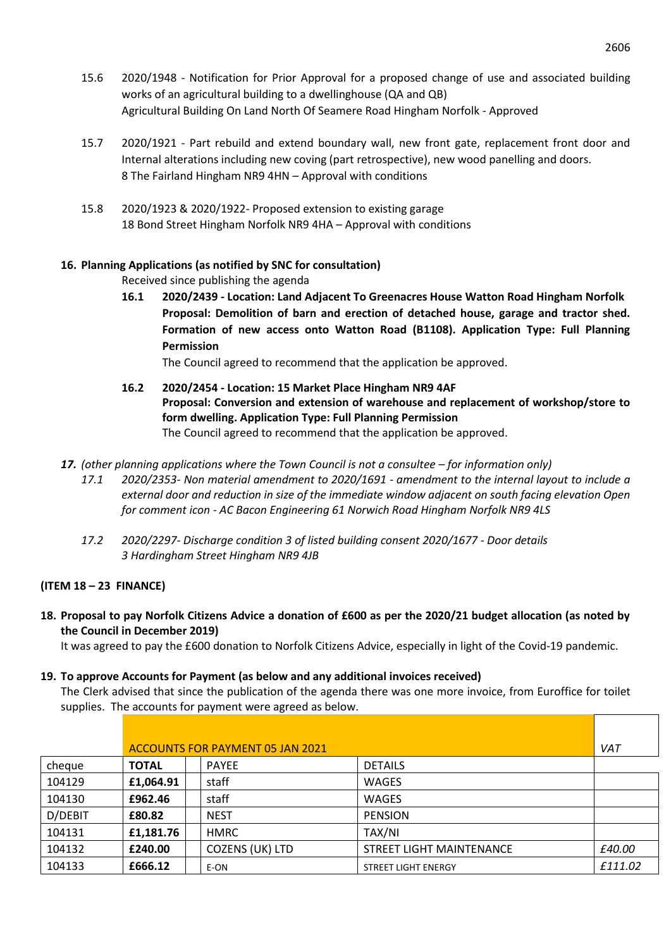- 15.6 2020/1948 Notification for Prior Approval for a proposed change of use and associated building works of an agricultural building to a dwellinghouse (QA and QB) Agricultural Building On Land North Of Seamere Road Hingham Norfolk - Approved
- 15.7 2020/1921 Part rebuild and extend boundary wall, new front gate, replacement front door and Internal alterations including new coving (part retrospective), new wood panelling and doors. 8 The Fairland Hingham NR9 4HN – Approval with conditions
- 15.8 2020/1923 & 2020/1922- Proposed extension to existing garage 18 Bond Street Hingham Norfolk NR9 4HA – Approval with conditions

## **16. Planning Applications (as notified by SNC for consultation)**

Received since publishing the agenda

**16.1 2020/2439 - Location: Land Adjacent To Greenacres House Watton Road Hingham Norfolk Proposal: Demolition of barn and erection of detached house, garage and tractor shed. Formation of new access onto Watton Road (B1108). Application Type: Full Planning Permission**

The Council agreed to recommend that the application be approved.

- **16.2 2020/2454 - Location: 15 Market Place Hingham NR9 4AF Proposal: Conversion and extension of warehouse and replacement of workshop/store to form dwelling. Application Type: Full Planning Permission** The Council agreed to recommend that the application be approved.
- **17.** *(other planning applications where the Town Council is not a consultee for information only)* 
	- *17.1 2020/2353- Non material amendment to 2020/1691 - amendment to the internal layout to include a external door and reduction in size of the immediate window adjacent on south facing elevation Open for comment icon - AC Bacon Engineering 61 Norwich Road Hingham Norfolk NR9 4LS*
	- *17.2 2020/2297- Discharge condition 3 of listed building consent 2020/1677 - Door details 3 Hardingham Street Hingham NR9 4JB*

### **(ITEM 18 – 23 FINANCE)**

**18. Proposal to pay Norfolk Citizens Advice a donation of £600 as per the 2020/21 budget allocation (as noted by the Council in December 2019)** 

It was agreed to pay the £600 donation to Norfolk Citizens Advice, especially in light of the Covid-19 pandemic.

#### **19. To approve Accounts for Payment (as below and any additional invoices received)**

The Clerk advised that since the publication of the agenda there was one more invoice, from Euroffice for toilet supplies. The accounts for payment were agreed as below.

|         | ACCOUNTS FOR PAYMENT 05 JAN 2021 |                        |                          |         |  |
|---------|----------------------------------|------------------------|--------------------------|---------|--|
| cheque  | <b>TOTAL</b>                     | <b>PAYEE</b>           | <b>DETAILS</b>           |         |  |
| 104129  | £1,064.91                        | staff                  | <b>WAGES</b>             |         |  |
| 104130  | £962.46                          | staff                  | <b>WAGES</b>             |         |  |
| D/DEBIT | £80.82                           | <b>NEST</b>            | <b>PENSION</b>           |         |  |
| 104131  | £1,181.76                        | <b>HMRC</b>            | TAX/NI                   |         |  |
| 104132  | £240.00                          | <b>COZENS (UK) LTD</b> | STREET LIGHT MAINTENANCE | £40.00  |  |
| 104133  | £666.12                          | E-ON                   | STREET LIGHT ENERGY      | £111.02 |  |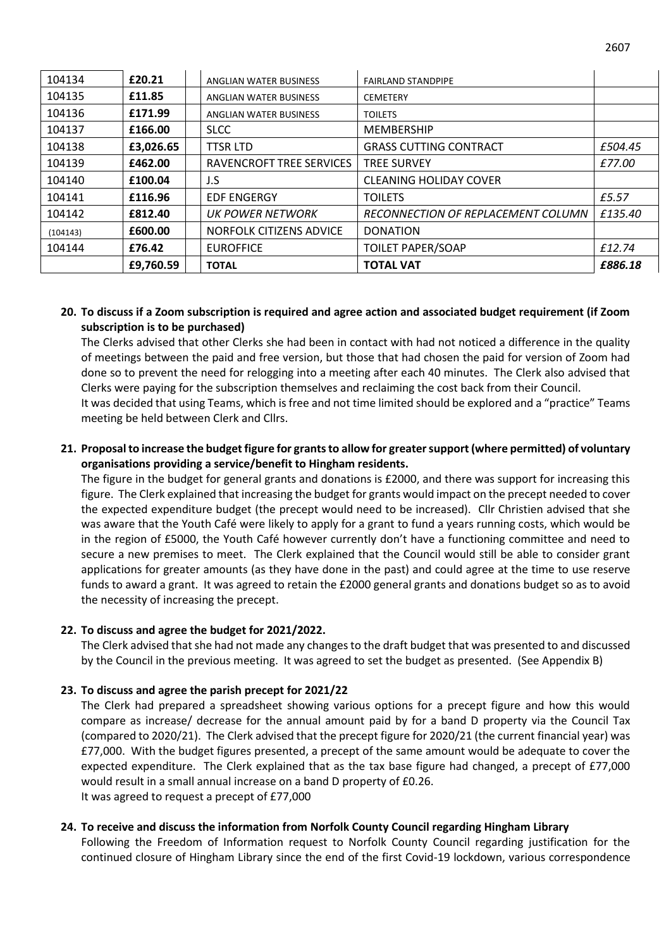| 104134   | £20.21    | ANGLIAN WATER BUSINESS   | <b>FAIRLAND STANDPIPE</b>          |         |
|----------|-----------|--------------------------|------------------------------------|---------|
| 104135   | £11.85    | ANGLIAN WATER BUSINESS   | <b>CEMETERY</b>                    |         |
| 104136   | £171.99   | ANGLIAN WATER BUSINESS   | <b>TOILETS</b>                     |         |
| 104137   | £166.00   | <b>SLCC</b>              | <b>MEMBERSHIP</b>                  |         |
| 104138   | £3,026.65 | <b>TTSR LTD</b>          | <b>GRASS CUTTING CONTRACT</b>      | £504.45 |
| 104139   | £462.00   | RAVENCROFT TREE SERVICES | <b>TREE SURVEY</b>                 | £77.00  |
| 104140   | £100.04   | J.S                      | <b>CLEANING HOLIDAY COVER</b>      |         |
| 104141   | £116.96   | <b>EDF ENGERGY</b>       | <b>TOILETS</b>                     | £5.57   |
| 104142   | £812.40   | UK POWER NETWORK         | RECONNECTION OF REPLACEMENT COLUMN | £135.40 |
| (104143) | £600.00   | NORFOLK CITIZENS ADVICE  | <b>DONATION</b>                    |         |
| 104144   | £76.42    | <b>EUROFFICE</b>         | <b>TOILET PAPER/SOAP</b>           | £12.74  |
|          | £9,760.59 | <b>TOTAL</b>             | <b>TOTAL VAT</b>                   | £886.18 |

#### **20. To discuss if a Zoom subscription is required and agree action and associated budget requirement (if Zoom subscription is to be purchased)**

The Clerks advised that other Clerks she had been in contact with had not noticed a difference in the quality of meetings between the paid and free version, but those that had chosen the paid for version of Zoom had done so to prevent the need for relogging into a meeting after each 40 minutes. The Clerk also advised that Clerks were paying for the subscription themselves and reclaiming the cost back from their Council.

It was decided that using Teams, which is free and not time limited should be explored and a "practice" Teams meeting be held between Clerk and Cllrs.

#### **21. Proposal to increase the budget figure for grants to allow for greater support (where permitted) of voluntary organisations providing a service/benefit to Hingham residents.**

The figure in the budget for general grants and donations is £2000, and there was support for increasing this figure. The Clerk explained that increasing the budget for grants would impact on the precept needed to cover the expected expenditure budget (the precept would need to be increased). Cllr Christien advised that she was aware that the Youth Café were likely to apply for a grant to fund a years running costs, which would be in the region of £5000, the Youth Café however currently don't have a functioning committee and need to secure a new premises to meet. The Clerk explained that the Council would still be able to consider grant applications for greater amounts (as they have done in the past) and could agree at the time to use reserve funds to award a grant. It was agreed to retain the £2000 general grants and donations budget so as to avoid the necessity of increasing the precept.

#### **22. To discuss and agree the budget for 2021/2022.**

The Clerk advised that she had not made any changes to the draft budget that was presented to and discussed by the Council in the previous meeting. It was agreed to set the budget as presented. (See Appendix B)

#### **23. To discuss and agree the parish precept for 2021/22**

The Clerk had prepared a spreadsheet showing various options for a precept figure and how this would compare as increase/ decrease for the annual amount paid by for a band D property via the Council Tax (compared to 2020/21). The Clerk advised that the precept figure for 2020/21 (the current financial year) was £77,000. With the budget figures presented, a precept of the same amount would be adequate to cover the expected expenditure. The Clerk explained that as the tax base figure had changed, a precept of £77,000 would result in a small annual increase on a band D property of £0.26. It was agreed to request a precept of £77,000

#### **24. To receive and discuss the information from Norfolk County Council regarding Hingham Library**

Following the Freedom of Information request to Norfolk County Council regarding justification for the continued closure of Hingham Library since the end of the first Covid-19 lockdown, various correspondence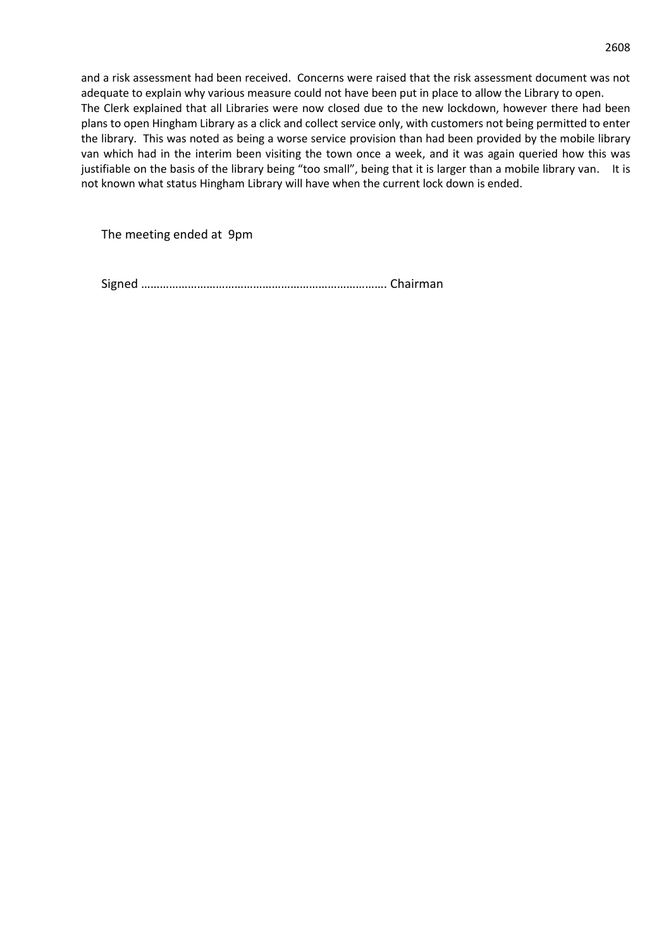and a risk assessment had been received. Concerns were raised that the risk assessment document was not adequate to explain why various measure could not have been put in place to allow the Library to open. The Clerk explained that all Libraries were now closed due to the new lockdown, however there had been plans to open Hingham Library as a click and collect service only, with customers not being permitted to enter the library. This was noted as being a worse service provision than had been provided by the mobile library van which had in the interim been visiting the town once a week, and it was again queried how this was justifiable on the basis of the library being "too small", being that it is larger than a mobile library van. It is not known what status Hingham Library will have when the current lock down is ended.

The meeting ended at 9pm

Signed ……………………………………………………………………. Chairman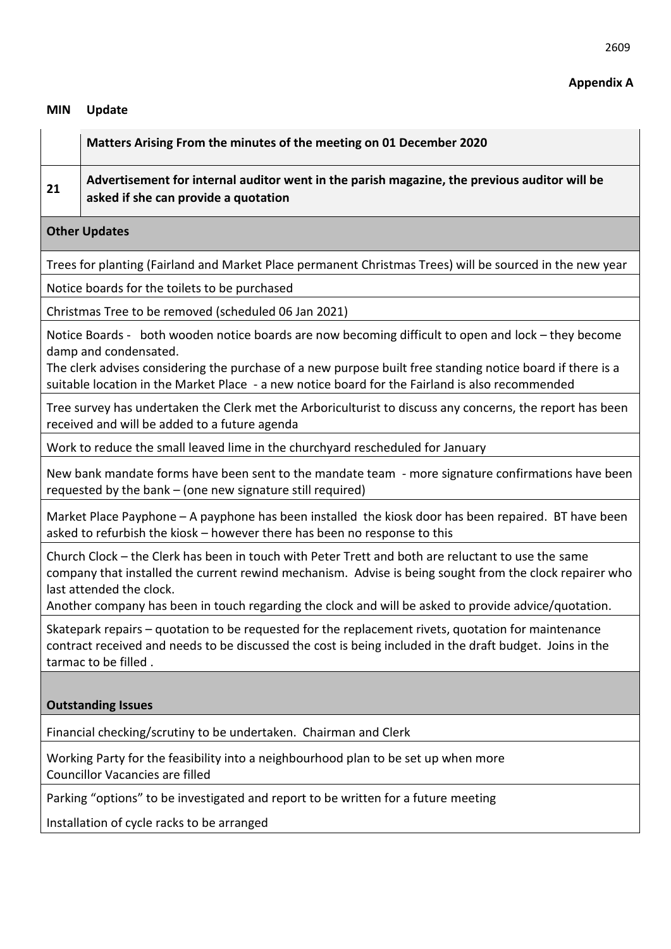# **Appendix A**

#### **MIN Update**

#### **21 Advertisement for internal auditor went in the parish magazine, the previous auditor will be asked if she can provide a quotation**

# **Other Updates**

Trees for planting (Fairland and Market Place permanent Christmas Trees) will be sourced in the new year

Notice boards for the toilets to be purchased

Christmas Tree to be removed (scheduled 06 Jan 2021)

Notice Boards - both wooden notice boards are now becoming difficult to open and lock – they become damp and condensated.

The clerk advises considering the purchase of a new purpose built free standing notice board if there is a suitable location in the Market Place - a new notice board for the Fairland is also recommended

Tree survey has undertaken the Clerk met the Arboriculturist to discuss any concerns, the report has been received and will be added to a future agenda

Work to reduce the small leaved lime in the churchyard rescheduled for January

New bank mandate forms have been sent to the mandate team - more signature confirmations have been requested by the bank – (one new signature still required)

Market Place Payphone – A payphone has been installed the kiosk door has been repaired. BT have been asked to refurbish the kiosk – however there has been no response to this

Church Clock – the Clerk has been in touch with Peter Trett and both are reluctant to use the same company that installed the current rewind mechanism. Advise is being sought from the clock repairer who last attended the clock.

Another company has been in touch regarding the clock and will be asked to provide advice/quotation.

Skatepark repairs – quotation to be requested for the replacement rivets, quotation for maintenance contract received and needs to be discussed the cost is being included in the draft budget. Joins in the tarmac to be filled .

# **Outstanding Issues**

Financial checking/scrutiny to be undertaken. Chairman and Clerk

Working Party for the feasibility into a neighbourhood plan to be set up when more Councillor Vacancies are filled

Parking "options" to be investigated and report to be written for a future meeting

Installation of cycle racks to be arranged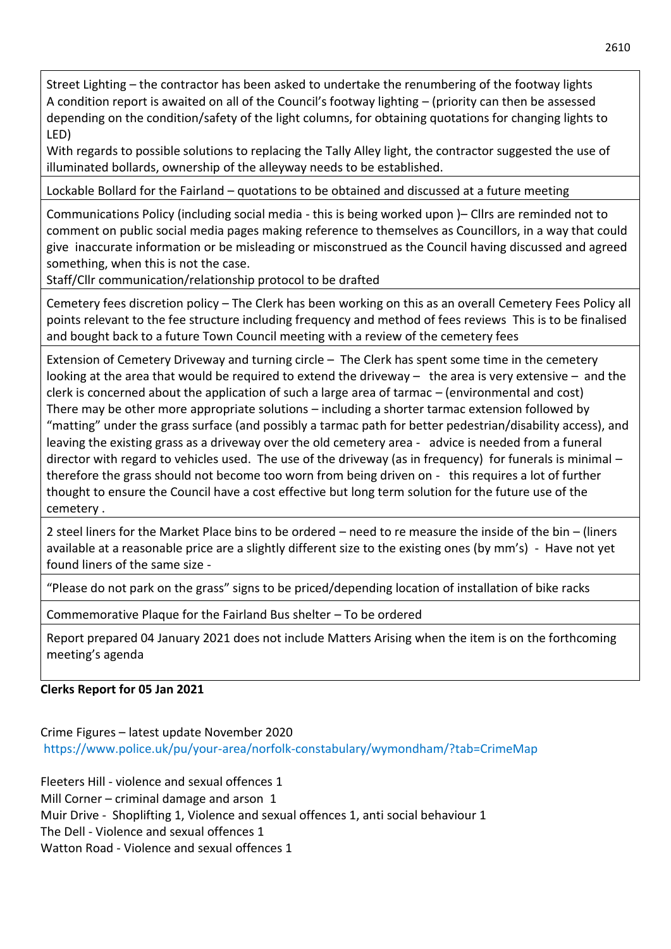Street Lighting – the contractor has been asked to undertake the renumbering of the footway lights A condition report is awaited on all of the Council's footway lighting – (priority can then be assessed depending on the condition/safety of the light columns, for obtaining quotations for changing lights to LED)

With regards to possible solutions to replacing the Tally Alley light, the contractor suggested the use of illuminated bollards, ownership of the alleyway needs to be established.

Lockable Bollard for the Fairland – quotations to be obtained and discussed at a future meeting

Communications Policy (including social media - this is being worked upon )– Cllrs are reminded not to comment on public social media pages making reference to themselves as Councillors, in a way that could give inaccurate information or be misleading or misconstrued as the Council having discussed and agreed something, when this is not the case.

Staff/Cllr communication/relationship protocol to be drafted

Cemetery fees discretion policy – The Clerk has been working on this as an overall Cemetery Fees Policy all points relevant to the fee structure including frequency and method of fees reviews This is to be finalised and bought back to a future Town Council meeting with a review of the cemetery fees

Extension of Cemetery Driveway and turning circle – The Clerk has spent some time in the cemetery looking at the area that would be required to extend the driveway  $-$  the area is very extensive  $-$  and the clerk is concerned about the application of such a large area of tarmac – (environmental and cost) There may be other more appropriate solutions – including a shorter tarmac extension followed by "matting" under the grass surface (and possibly a tarmac path for better pedestrian/disability access), and leaving the existing grass as a driveway over the old cemetery area - advice is needed from a funeral director with regard to vehicles used. The use of the driveway (as in frequency) for funerals is minimal – therefore the grass should not become too worn from being driven on - this requires a lot of further thought to ensure the Council have a cost effective but long term solution for the future use of the cemetery .

2 steel liners for the Market Place bins to be ordered – need to re measure the inside of the bin – (liners available at a reasonable price are a slightly different size to the existing ones (by mm's) - Have not yet found liners of the same size -

"Please do not park on the grass" signs to be priced/depending location of installation of bike racks

Commemorative Plaque for the Fairland Bus shelter – To be ordered

Report prepared 04 January 2021 does not include Matters Arising when the item is on the forthcoming meeting's agenda

# **Clerks Report for 05 Jan 2021**

Crime Figures – latest update November 2020 <https://www.police.uk/pu/your-area/norfolk-constabulary/wymondham/?tab=CrimeMap>

Fleeters Hill - violence and sexual offences 1 Mill Corner – criminal damage and arson 1 Muir Drive - Shoplifting 1, Violence and sexual offences 1, anti social behaviour 1 The Dell - Violence and sexual offences 1 Watton Road - Violence and sexual offences 1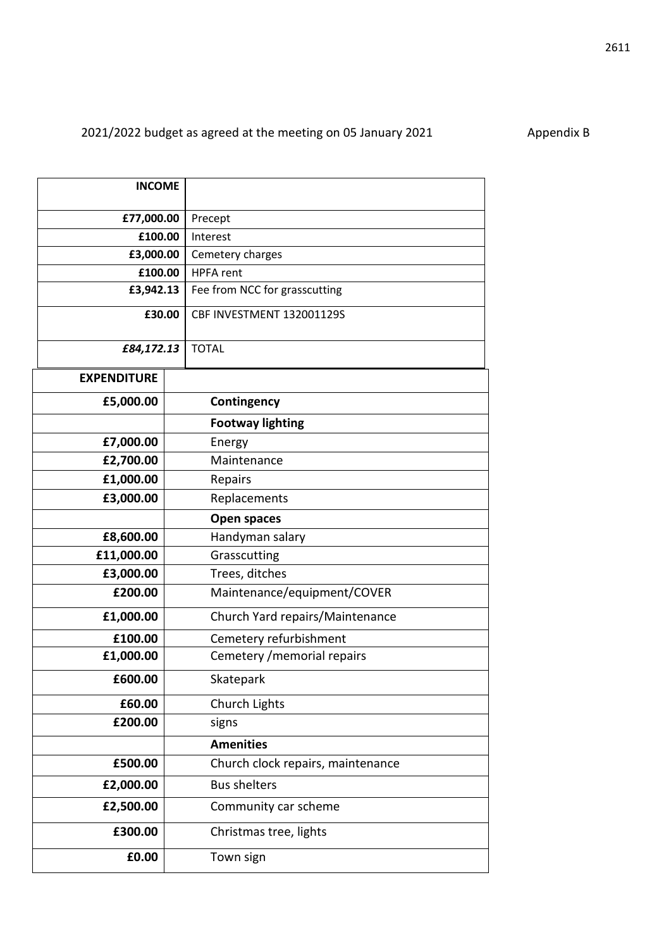| <b>INCOME</b>      |  |                                   |
|--------------------|--|-----------------------------------|
| £77,000.00         |  | Precept                           |
| £100.00            |  | Interest                          |
| £3,000.00          |  | Cemetery charges                  |
| £100.00            |  | <b>HPFA</b> rent                  |
| £3,942.13          |  | Fee from NCC for grasscutting     |
| £30.00             |  | CBF INVESTMENT 132001129S         |
| £84,172.13         |  | <b>TOTAL</b>                      |
| <b>EXPENDITURE</b> |  |                                   |
|                    |  |                                   |
| £5,000.00          |  | Contingency                       |
|                    |  | <b>Footway lighting</b>           |
| £7,000.00          |  | Energy                            |
| £2,700.00          |  | Maintenance                       |
| £1,000.00          |  | Repairs                           |
| £3,000.00          |  | Replacements                      |
|                    |  | Open spaces                       |
| £8,600.00          |  | Handyman salary                   |
| £11,000.00         |  | Grasscutting                      |
| £3,000.00          |  | Trees, ditches                    |
| £200.00            |  | Maintenance/equipment/COVER       |
| £1,000.00          |  | Church Yard repairs/Maintenance   |
| £100.00            |  | Cemetery refurbishment            |
| £1,000.00          |  | Cemetery / memorial repairs       |
| £600.00            |  | Skatepark                         |
| £60.00             |  | Church Lights                     |
| £200.00            |  | signs                             |
|                    |  | <b>Amenities</b>                  |
| £500.00            |  | Church clock repairs, maintenance |
| £2,000.00          |  | <b>Bus shelters</b>               |
| £2,500.00          |  | Community car scheme              |
| £300.00            |  | Christmas tree, lights            |

**£0.00** Town sign